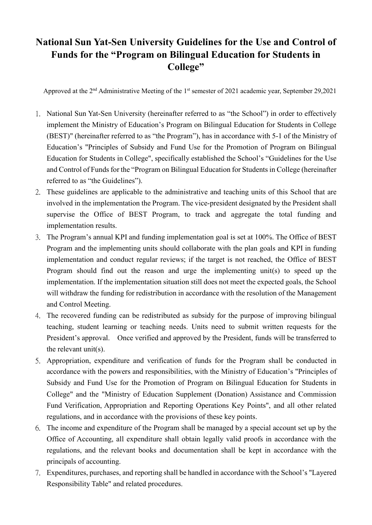## **National Sun Yat-Sen University Guidelines for the Use and Control of Funds for the "Program on Bilingual Education for Students in College"**

Approved at the 2<sup>nd</sup> Administrative Meeting of the 1<sup>st</sup> semester of 2021 academic year, September 29,2021

- 1. National Sun Yat-Sen University (hereinafter referred to as "the School") in order to effectively implement the Ministry of Education's Program on Bilingual Education for Students in College (BEST)" (hereinafter referred to as "the Program"), has in accordance with 5-1 of the Ministry of Education's "Principles of Subsidy and Fund Use for the Promotion of Program on Bilingual Education for Students in College", specifically established the School's "Guidelines for the Use and Control of Funds for the "Program on Bilingual Education for Students in College (hereinafter referred to as "the Guidelines").
- 2. These guidelines are applicable to the administrative and teaching units of this School that are involved in the implementation the Program. The vice-president designated by the President shall supervise the Office of BEST Program, to track and aggregate the total funding and implementation results.
- 3. The Program's annual KPI and funding implementation goal is set at 100%. The Office of BEST Program and the implementing units should collaborate with the plan goals and KPI in funding implementation and conduct regular reviews; if the target is not reached, the Office of BEST Program should find out the reason and urge the implementing unit(s) to speed up the implementation. If the implementation situation still does not meet the expected goals, the School will withdraw the funding for redistribution in accordance with the resolution of the Management and Control Meeting.
- 4. The recovered funding can be redistributed as subsidy for the purpose of improving bilingual teaching, student learning or teaching needs. Units need to submit written requests for the President's approval. Once verified and approved by the President, funds will be transferred to the relevant unit(s).
- 5. Appropriation, expenditure and verification of funds for the Program shall be conducted in accordance with the powers and responsibilities, with the Ministry of Education's "Principles of Subsidy and Fund Use for the Promotion of Program on Bilingual Education for Students in College" and the "Ministry of Education Supplement (Donation) Assistance and Commission Fund Verification, Appropriation and Reporting Operations Key Points", and all other related regulations, and in accordance with the provisions of these key points.
- 6. The income and expenditure of the Program shall be managed by a special account set up by the Office of Accounting, all expenditure shall obtain legally valid proofs in accordance with the regulations, and the relevant books and documentation shall be kept in accordance with the principals of accounting.
- 7. Expenditures, purchases, and reporting shall be handled in accordance with the School's "Layered Responsibility Table" and related procedures.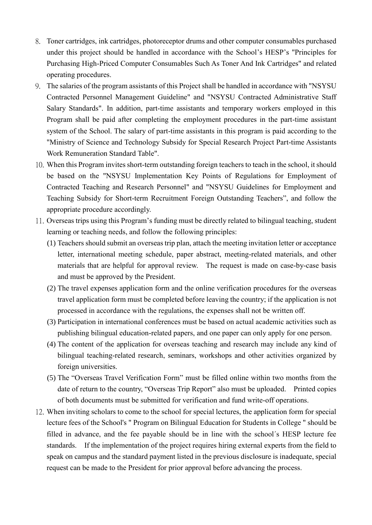- 8. Toner cartridges, ink cartridges, photoreceptor drums and other computer consumables purchased under this project should be handled in accordance with the School's HESP's "Principles for Purchasing High-Priced Computer Consumables Such As Toner And Ink Cartridges" and related operating procedures.
- 9. The salaries of the program assistants of this Project shall be handled in accordance with "NSYSU Contracted Personnel Management Guideline" and "NSYSU Contracted Administrative Staff Salary Standards". In addition, part-time assistants and temporary workers employed in this Program shall be paid after completing the employment procedures in the part-time assistant system of the School. The salary of part-time assistants in this program is paid according to the "Ministry of Science and Technology Subsidy for Special Research Project Part-time Assistants Work Remuneration Standard Table".
- 10. When this Program invites short-term outstanding foreign teachers to teach in the school, it should be based on the "NSYSU Implementation Key Points of Regulations for Employment of Contracted Teaching and Research Personnel" and "NSYSU Guidelines for Employment and Teaching Subsidy for Short-term Recruitment Foreign Outstanding Teachers", and follow the appropriate procedure accordingly.
- 11. Overseas trips using this Program's funding must be directly related to bilingual teaching, student learning or teaching needs, and follow the following principles:
	- (1) Teachers should submit an overseas trip plan, attach the meeting invitation letter or acceptance letter, international meeting schedule, paper abstract, meeting-related materials, and other materials that are helpful for approval review. The request is made on case-by-case basis and must be approved by the President.
	- (2) The travel expenses application form and the online verification procedures for the overseas travel application form must be completed before leaving the country; if the application is not processed in accordance with the regulations, the expenses shall not be written off.
	- (3) Participation in international conferences must be based on actual academic activities such as publishing bilingual education-related papers, and one paper can only apply for one person.
	- (4) The content of the application for overseas teaching and research may include any kind of bilingual teaching-related research, seminars, workshops and other activities organized by foreign universities.
	- (5) The "Overseas Travel Verification Form" must be filled online within two months from the date of return to the country, "Overseas Trip Report" also must be uploaded. Printed copies of both documents must be submitted for verification and fund write-off operations.
- 12. When inviting scholars to come to the school for special lectures, the application form for special lecture fees of the School's " Program on Bilingual Education for Students in College " should be filled in advance, and the fee payable should be in line with the school´s HESP lecture fee standards. If the implementation of the project requires hiring external experts from the field to speak on campus and the standard payment listed in the previous disclosure is inadequate, special request can be made to the President for prior approval before advancing the process.